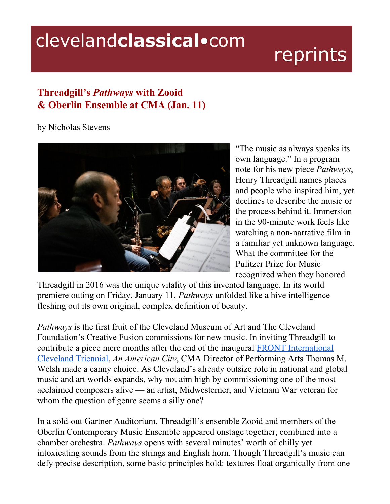## clevelandclassical.com

## reprints

## **Threadgill's** *Pathways* **with Zooid & Oberlin Ensemble at CMA (Jan. 11)**

by Nicholas Stevens



"The music as always speaks its own language." In a program note for his new piece *Pathways*, Henry Threadgill names places and people who inspired him, yet declines to describe the music or the process behind it. Immersion in the 90-minute work feels like watching a non-narrative film in a familiar yet unknown language. What the committee for the Pulitzer Prize for Music recognized when they honored

Threadgill in 2016 was the unique vitality of this invented language. In its world premiere outing on Friday, January 11, *Pathways* unfolded like a hive intelligence fleshing out its own original, complex definition of beauty.

*Pathways* is the first fruit of the Cleveland Museum of Art and The Cleveland Foundation's Creative Fusion commissions for new music. In inviting Threadgill to contribute a piece mere months after the end of the inaugural FRONT [International](https://frontart.org/about/) [Cleveland](https://frontart.org/about/) Triennial, *An American City*, CMA Director of Performing Arts Thomas M. Welsh made a canny choice. As Cleveland's already outsize role in national and global music and art worlds expands, why not aim high by commissioning one of the most acclaimed composers alive — an artist, Midwesterner, and Vietnam War veteran for whom the question of genre seems a silly one?

In a sold-out Gartner Auditorium, Threadgill's ensemble Zooid and members of the Oberlin Contemporary Music Ensemble appeared onstage together, combined into a chamber orchestra. *Pathways* opens with several minutes' worth of chilly yet intoxicating sounds from the strings and English horn. Though Threadgill's music can defy precise description, some basic principles hold: textures float organically from one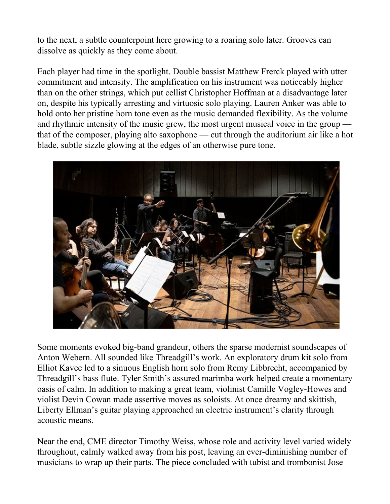to the next, a subtle counterpoint here growing to a roaring solo later. Grooves can dissolve as quickly as they come about.

Each player had time in the spotlight. Double bassist Matthew Frerck played with utter commitment and intensity. The amplification on his instrument was noticeably higher than on the other strings, which put cellist Christopher Hoffman at a disadvantage later on, despite his typically arresting and virtuosic solo playing. Lauren Anker was able to hold onto her pristine horn tone even as the music demanded flexibility. As the volume and rhythmic intensity of the music grew, the most urgent musical voice in the group that of the composer, playing alto saxophone — cut through the auditorium air like a hot blade, subtle sizzle glowing at the edges of an otherwise pure tone.



Some moments evoked big-band grandeur, others the sparse modernist soundscapes of Anton Webern. All sounded like Threadgill's work. An exploratory drum kit solo from Elliot Kavee led to a sinuous English horn solo from Remy Libbrecht, accompanied by Threadgill's bass flute. Tyler Smith's assured marimba work helped create a momentary oasis of calm. In addition to making a great team, violinist Camille Vogley-Howes and violist Devin Cowan made assertive moves as soloists. At once dreamy and skittish, Liberty Ellman's guitar playing approached an electric instrument's clarity through acoustic means.

Near the end, CME director Timothy Weiss, whose role and activity level varied widely throughout, calmly walked away from his post, leaving an ever-diminishing number of musicians to wrap up their parts. The piece concluded with tubist and trombonist Jose